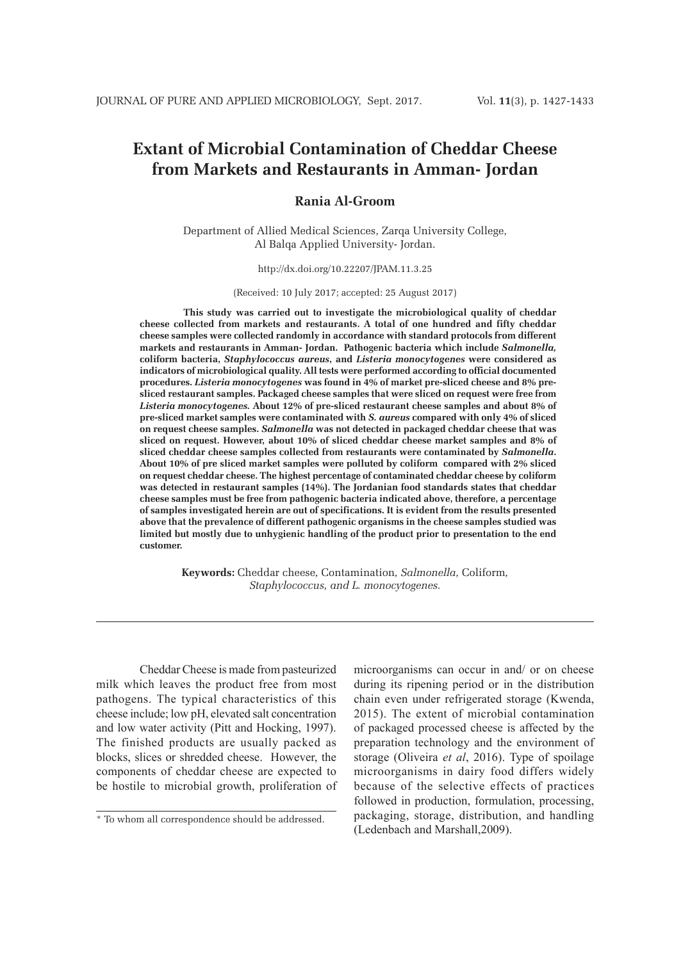# **Extant of Microbial Contamination of Cheddar Cheese from Markets and Restaurants in Amman- Jordan**

## **Rania Al-Groom**

Department of Allied Medical Sciences, Zarqa University College, Al Balqa Applied University- Jordan.

http://dx.doi.org/10.22207/JPAM.11.3.25

(Received: 10 July 2017; accepted: 25 August 2017)

**This study was carried out to investigate the microbiological quality of cheddar cheese collected from markets and restaurants. A total of one hundred and fifty cheddar cheese samples were collected randomly in accordance with standard protocols from different markets and restaurants in Amman- Jordan. Pathogenic bacteria which include** *Salmonella,*  **coliform bacteria,** *Staphylococcus aureus***, and** *Listeria monocytogenes* **were considered as indicators of microbiological quality. All tests were performed according to official documented procedures.** *Listeria monocytogenes* **was found in 4% of market pre-sliced cheese and 8% presliced restaurant samples. Packaged cheese samples that were sliced on request were free from** *Listeria monocytogenes.* **About 12% of pre-sliced restaurant cheese samples and about 8% of pre-sliced market samples were contaminated with** *S. aureus* **compared with only 4% of sliced on request cheese samples.** *Salmonella* **was not detected in packaged cheddar cheese that was sliced on request. However, about 10% of sliced cheddar cheese market samples and 8% of sliced cheddar cheese samples collected from restaurants were contaminated by** *Salmonella***. About 10% of pre sliced market samples were polluted by coliform****compared with 2% sliced on request cheddar cheese. The highest percentage of contaminated cheddar cheese by coliform was detected in restaurant samples (14%). The Jordanian food standards states that cheddar cheese samples must be free from pathogenic bacteria indicated above, therefore, a percentage of samples investigated herein are out of specifications. It is evident from the results presented above that the prevalence of different pathogenic organisms in the cheese samples studied was limited but mostly due to unhygienic handling of the product prior to presentation to the end customer.** 

> **Keywords:** Cheddar cheese*,* Contamination*, Salmonella,* Coliform*, Staphylococcus, and L. monocytogenes.*

Cheddar Cheese is made from pasteurized milk which leaves the product free from most pathogens. The typical characteristics of this cheese include; low pH, elevated salt concentration and low water activity (Pitt and Hocking, 1997). The finished products are usually packed as blocks, slices or shredded cheese. However, the components of cheddar cheese are expected to be hostile to microbial growth, proliferation of microorganisms can occur in and/ or on cheese during its ripening period or in the distribution chain even under refrigerated storage (Kwenda, 2015). The extent of microbial contamination of packaged processed cheese is affected by the preparation technology and the environment of storage (Oliveira *et al*, 2016). Type of spoilage microorganisms in dairy food differs widely because of the selective effects of practices followed in production, formulation, processing, packaging, storage, distribution, and handling (Ledenbach and Marshall,2009).

<sup>\*</sup> To whom all correspondence should be addressed.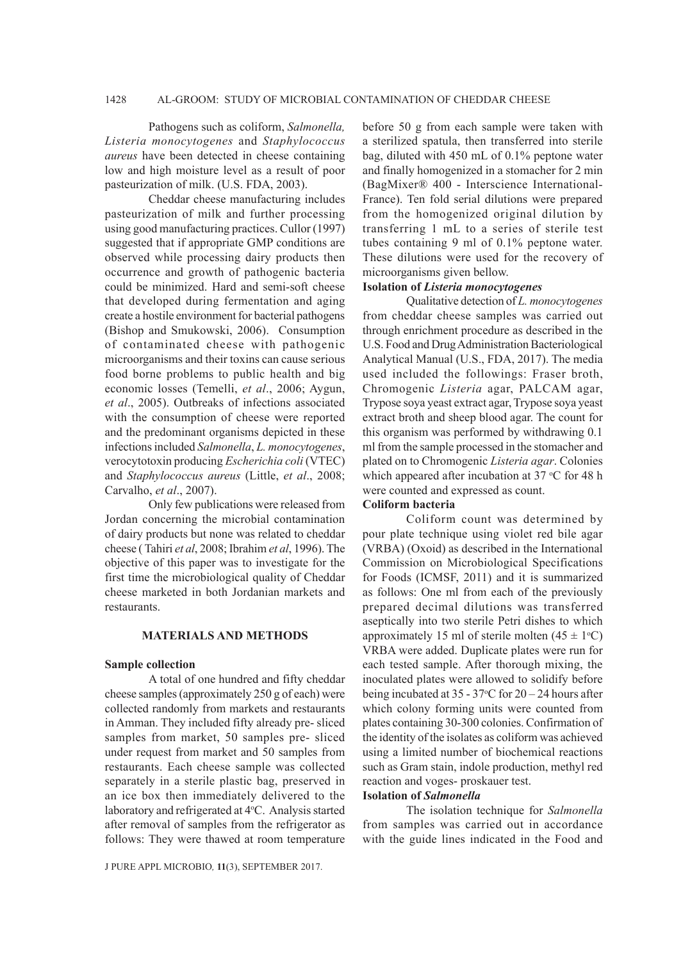## 1428 AL-GROOM: STUDY OF MICROBIAL CONTAMINATION OF CHEDDAR CHEESE

Pathogens such as coliform, *Salmonella, Listeria monocytogenes* and *Staphylococcus aureus* have been detected in cheese containing low and high moisture level as a result of poor pasteurization of milk. (U.S. FDA, 2003).

Cheddar cheese manufacturing includes pasteurization of milk and further processing using good manufacturing practices. Cullor (1997) suggested that if appropriate GMP conditions are observed while processing dairy products then occurrence and growth of pathogenic bacteria could be minimized. Hard and semi-soft cheese that developed during fermentation and aging create a hostile environment for bacterial pathogens (Bishop and Smukowski, 2006). Consumption of contaminated cheese with pathogenic microorganisms and their toxins can cause serious food borne problems to public health and big economic losses (Temelli, *et al*., 2006; Aygun, *et al*., 2005). Outbreaks of infections associated with the consumption of cheese were reported and the predominant organisms depicted in these infections included *Salmonella*, *L. monocytogenes*, verocytotoxin producing *Escherichia coli* (VTEC) and *Staphylococcus aureus* (Little, *et al*., 2008; Carvalho, *et al*., 2007).

Only few publications were released from Jordan concerning the microbial contamination of dairy products but none was related to cheddar cheese ( Tahiri *et al*, 2008; Ibrahim *et al*, 1996). The objective of this paper was to investigate for the first time the microbiological quality of Cheddar cheese marketed in both Jordanian markets and restaurants.

#### **MATERIALS AND METHODS**

#### **Sample collection**

A total of one hundred and fifty cheddar cheese samples (approximately 250 g of each) were collected randomly from markets and restaurants in Amman. They included fifty already pre- sliced samples from market, 50 samples pre- sliced under request from market and 50 samples from restaurants. Each cheese sample was collected separately in a sterile plastic bag, preserved in an ice box then immediately delivered to the laboratory and refrigerated at 4°C. Analysis started after removal of samples from the refrigerator as follows: They were thawed at room temperature

J PURE APPL MICROBIO*,* **11**(3), SEPTEMBER 2017.

before 50 g from each sample were taken with a sterilized spatula, then transferred into sterile bag, diluted with 450 mL of 0.1% peptone water and finally homogenized in a stomacher for 2 min (BagMixer® 400 - Interscience International-France). Ten fold serial dilutions were prepared from the homogenized original dilution by transferring 1 mL to a series of sterile test tubes containing 9 ml of 0.1% peptone water. These dilutions were used for the recovery of microorganisms given bellow.

## **Isolation of** *Listeria monocytogenes*

Qualitative detection of *L. monocytogenes*  from cheddar cheese samples was carried out through enrichment procedure as described in the U.S. Food and Drug Administration Bacteriological Analytical Manual (U.S., FDA, 2017). The media used included the followings: Fraser broth, Chromogenic *Listeria* agar, PALCAM agar, Trypose soya yeast extract agar, Trypose soya yeast extract broth and sheep blood agar. The count for this organism was performed by withdrawing 0.1 ml from the sample processed in the stomacher and plated on to Chromogenic *Listeria agar*. Colonies which appeared after incubation at  $37 \text{ °C}$  for 48 h were counted and expressed as count.

#### **Coliform bacteria**

Coliform count was determined by pour plate technique using violet red bile agar (VRBA) (Oxoid) as described in the International Commission on Microbiological Specifications for Foods (ICMSF, 2011) and it is summarized as follows: One ml from each of the previously prepared decimal dilutions was transferred aseptically into two sterile Petri dishes to which approximately 15 ml of sterile molten  $(45 \pm 1^{\circ}C)$ VRBA were added. Duplicate plates were run for each tested sample. After thorough mixing, the inoculated plates were allowed to solidify before being incubated at  $35 - 37$ °C for  $20 - 24$  hours after which colony forming units were counted from plates containing 30-300 colonies. Confirmation of the identity of the isolates as coliform was achieved using a limited number of biochemical reactions such as Gram stain, indole production, methyl red reaction and voges- proskauer test.

#### **Isolation of** *Salmonella*

The isolation technique for *Salmonella*  from samples was carried out in accordance with the guide lines indicated in the Food and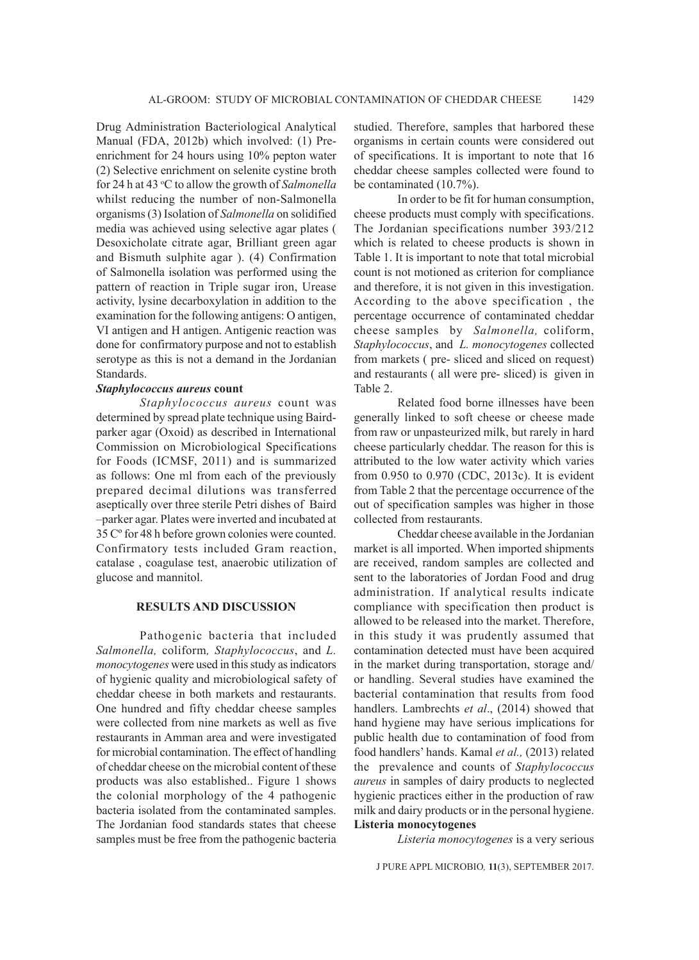Drug Administration Bacteriological Analytical Manual (FDA, 2012b) which involved: (1) Preenrichment for 24 hours using 10% pepton water (2) Selective enrichment on selenite cystine broth for 24 h at 43 °C to allow the growth of *Salmonella* whilst reducing the number of non-Salmonella organisms (3) Isolation of *Salmonella* on solidified media was achieved using selective agar plates ( Desoxicholate citrate agar, Brilliant green agar and Bismuth sulphite agar ). (4) Confirmation of Salmonella isolation was performed using the pattern of reaction in Triple sugar iron, Urease activity, lysine decarboxylation in addition to the examination for the following antigens: O antigen, VI antigen and H antigen. Antigenic reaction was done for confirmatory purpose and not to establish serotype as this is not a demand in the Jordanian Standards.

## *Staphylococcus aureus* **count**

*Staphylococcus aureus* count was determined by spread plate technique using Bairdparker agar (Oxoid) as described in International Commission on Microbiological Specifications for Foods (ICMSF, 2011) and is summarized as follows: One ml from each of the previously prepared decimal dilutions was transferred aseptically over three sterile Petri dishes of Baird –parker agar. Plates were inverted and incubated at 35 Cº for 48 h before grown colonies were counted. Confirmatory tests included Gram reaction, catalase , coagulase test, anaerobic utilization of glucose and mannitol.

## **RESULTS AND DISCUSSION**

Pathogenic bacteria that included *Salmonella,* coliform*, Staphylococcus*, and *L. monocytogenes* were used in this study as indicators of hygienic quality and microbiological safety of cheddar cheese in both markets and restaurants. One hundred and fifty cheddar cheese samples were collected from nine markets as well as five restaurants in Amman area and were investigated for microbial contamination. The effect of handling of cheddar cheese on the microbial content of these products was also established.. Figure 1 shows the colonial morphology of the 4 pathogenic bacteria isolated from the contaminated samples. The Jordanian food standards states that cheese samples must be free from the pathogenic bacteria

studied. Therefore, samples that harbored these organisms in certain counts were considered out of specifications. It is important to note that 16 cheddar cheese samples collected were found to be contaminated (10.7%).

In order to be fit for human consumption, cheese products must comply with specifications. The Jordanian specifications number 393/212 which is related to cheese products is shown in Table 1. It is important to note that total microbial count is not motioned as criterion for compliance and therefore, it is not given in this investigation. According to the above specification , the percentage occurrence of contaminated cheddar cheese samples by *Salmonella,* coliform, *Staphylococcus*, and *L. monocytogenes* collected from markets ( pre- sliced and sliced on request) and restaurants ( all were pre- sliced) is given in Table 2.

Related food borne illnesses have been generally linked to soft cheese or cheese made from raw or unpasteurized milk, but rarely in hard cheese particularly cheddar. The reason for this is attributed to the low water activity which varies from 0.950 to 0.970 (CDC, 2013c). It is evident from Table 2 that the percentage occurrence of the out of specification samples was higher in those collected from restaurants.

Cheddar cheese available in the Jordanian market is all imported. When imported shipments are received, random samples are collected and sent to the laboratories of Jordan Food and drug administration. If analytical results indicate compliance with specification then product is allowed to be released into the market. Therefore, in this study it was prudently assumed that contamination detected must have been acquired in the market during transportation, storage and/ or handling. Several studies have examined the bacterial contamination that results from food handlers. Lambrechts *et al*., (2014) showed that hand hygiene may have serious implications for public health due to contamination of food from food handlers' hands. Kamal *et al.,* (2013) related the prevalence and counts of *Staphylococcus aureus* in samples of dairy products to neglected hygienic practices either in the production of raw milk and dairy products or in the personal hygiene. **Listeria monocytogenes**

*Listeria monocytogenes* is a very serious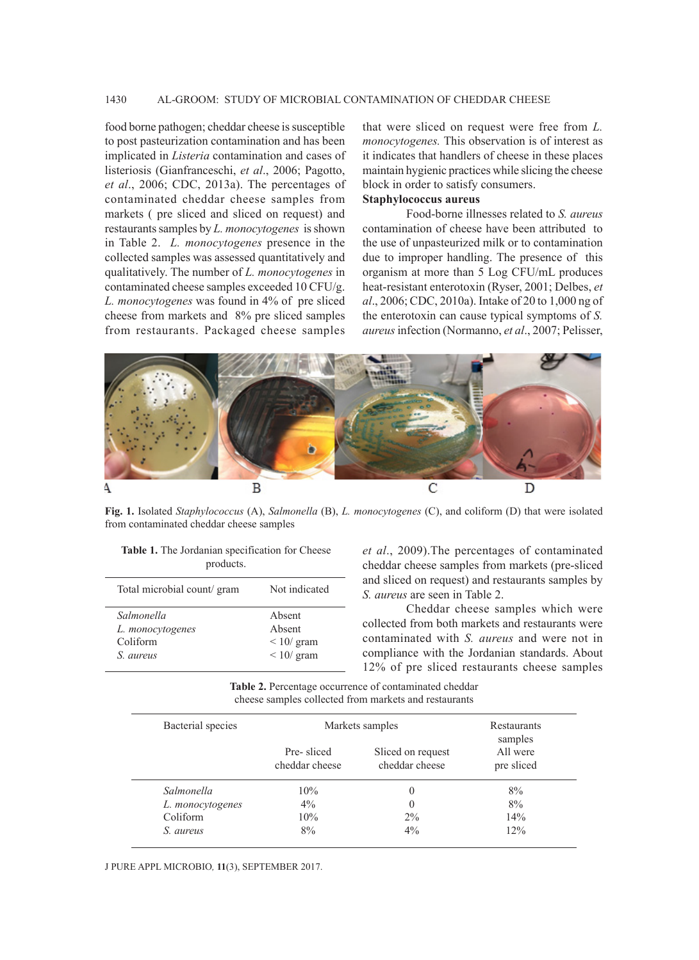## 1430 AL-GROOM: STUDY OF MICROBIAL CONTAMINATION OF CHEDDAR CHEESE

food borne pathogen; cheddar cheese is susceptible to post pasteurization contamination and has been implicated in *Listeria* contamination and cases of listeriosis (Gianfranceschi, *et al*., 2006; Pagotto, *et al*., 2006; CDC, 2013a). The percentages of contaminated cheddar cheese samples from markets ( pre sliced and sliced on request) and restaurants samples by *L. monocytogenes* is shown in Table 2. *L. monocytogenes* presence in the collected samples was assessed quantitatively and qualitatively. The number of *L. monocytogenes* in contaminated cheese samples exceeded 10 CFU/g. *L. monocytogenes* was found in 4% of pre sliced cheese from markets and 8% pre sliced samples from restaurants. Packaged cheese samples

that were sliced on request were free from *L. monocytogenes.* This observation is of interest as it indicates that handlers of cheese in these places maintain hygienic practices while slicing the cheese block in order to satisfy consumers. **Staphylococcus aureus**

# Food-borne illnesses related to *S. aureus* contamination of cheese have been attributed to the use of unpasteurized milk or to contamination due to improper handling. The presence of this organism at more than 5 Log CFU/mL produces heat-resistant enterotoxin (Ryser, 2001; Delbes, *et al*., 2006; CDC, 2010a). Intake of 20 to 1,000 ng of the enterotoxin can cause typical symptoms of *S. aureus* infection (Normanno, *et al*., 2007; Pelisser,



**Fig. 1.** Isolated *Staphylococcus* (A), *Salmonella* (B), *L. monocytogenes* (C), and coliform (D) that were isolated from contaminated cheddar cheese samples

| products.                  |                  |
|----------------------------|------------------|
| Total microbial count/gram | Not indicated    |
| Salmonella                 | Absent           |
| L. monocytogenes           | Absent           |
| Coliform                   | $\leq 10$ / gram |
| S. aureus                  | $\leq 10$ / gram |

**Table 1.** The Jordanian specification for Cheese

*et al*., 2009).The percentages of contaminated cheddar cheese samples from markets (pre-sliced and sliced on request) and restaurants samples by *S. aureus* are seen in Table 2.

Cheddar cheese samples which were collected from both markets and restaurants were contaminated with *S. aureus* and were not in compliance with the Jordanian standards. About 12% of pre sliced restaurants cheese samples

**Table 2.** Percentage occurrence of contaminated cheddar cheese samples collected from markets and restaurants

| Bacterial species | Markets samples              |                                     | Restaurants<br>samples |
|-------------------|------------------------------|-------------------------------------|------------------------|
|                   | Pre-sliced<br>cheddar cheese | Sliced on request<br>cheddar cheese | All were<br>pre sliced |
| Salmonella        | 10%                          | $\theta$                            | 8%                     |
| L. monocytogenes  | $4\%$                        | $\theta$                            | 8%                     |
| Coliform          | 10%                          | $2\%$                               | 14%                    |
| S. aureus         | 8%                           | 4%                                  | 12%                    |

J PURE APPL MICROBIO*,* **11**(3), SEPTEMBER 2017.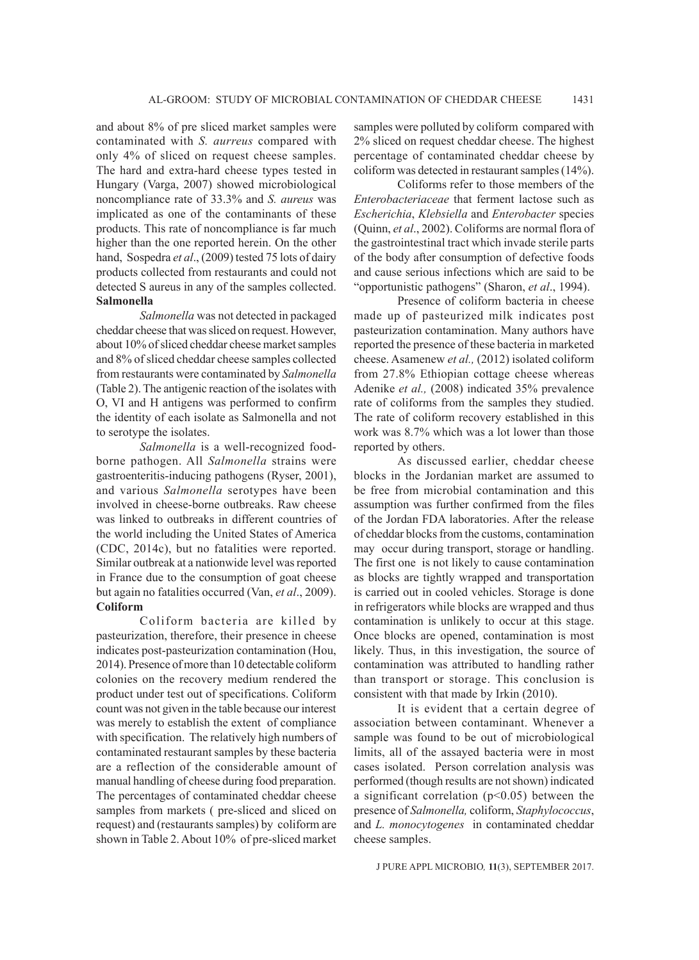and about 8% of pre sliced market samples were contaminated with *S. aurreus* compared with only 4% of sliced on request cheese samples. The hard and extra-hard cheese types tested in Hungary (Varga, 2007) showed microbiological noncompliance rate of 33.3% and *S. aureus* was implicated as one of the contaminants of these products. This rate of noncompliance is far much higher than the one reported herein. On the other hand, Sospedra *et al*., (2009) tested 75 lots of dairy products collected from restaurants and could not detected S aureus in any of the samples collected. **Salmonella**

*Salmonella* was not detected in packaged cheddar cheese that was sliced on request. However, about 10% of sliced cheddar cheese market samples and 8% of sliced cheddar cheese samples collected from restaurants were contaminated by *Salmonella*  (Table 2). The antigenic reaction of the isolates with O, VI and H antigens was performed to confirm the identity of each isolate as Salmonella and not to serotype the isolates.

*Salmonella* is a well-recognized foodborne pathogen. All *Salmonella* strains were gastroenteritis-inducing pathogens (Ryser, 2001), and various *Salmonella* serotypes have been involved in cheese-borne outbreaks. Raw cheese was linked to outbreaks in different countries of the world including the United States of America (CDC, 2014c), but no fatalities were reported. Similar outbreak at a nationwide level was reported in France due to the consumption of goat cheese but again no fatalities occurred (Van, *et al*., 2009). **Coliform**

Coliform bacteria are killed by pasteurization, therefore, their presence in cheese indicates post-pasteurization contamination (Hou, 2014). Presence of more than 10 detectable coliform colonies on the recovery medium rendered the product under test out of specifications. Coliform count was not given in the table because our interest was merely to establish the extent of compliance with specification. The relatively high numbers of contaminated restaurant samples by these bacteria are a reflection of the considerable amount of manual handling of cheese during food preparation. The percentages of contaminated cheddar cheese samples from markets ( pre-sliced and sliced on request) and (restaurants samples) by coliform are shown in Table 2. About 10% of pre-sliced market

samples were polluted by coliform compared with 2% sliced on request cheddar cheese. The highest percentage of contaminated cheddar cheese by coliform was detected in restaurant samples (14%).

Coliforms refer to those members of the *Enterobacteriaceae* that ferment lactose such as *Escherichia*, *Klebsiella* and *Enterobacter* species (Quinn, *et al*., 2002). Coliforms are normal flora of the gastrointestinal tract which invade sterile parts of the body after consumption of defective foods and cause serious infections which are said to be "opportunistic pathogens" (Sharon, *et al*., 1994).

Presence of coliform bacteria in cheese made up of pasteurized milk indicates post pasteurization contamination. Many authors have reported the presence of these bacteria in marketed cheese. Asamenew *et al.,* (2012) isolated coliform from 27.8% Ethiopian cottage cheese whereas Adenike *et al.,* (2008) indicated 35% prevalence rate of coliforms from the samples they studied. The rate of coliform recovery established in this work was 8.7% which was a lot lower than those reported by others.

As discussed earlier, cheddar cheese blocks in the Jordanian market are assumed to be free from microbial contamination and this assumption was further confirmed from the files of the Jordan FDA laboratories. After the release of cheddar blocks from the customs, contamination may occur during transport, storage or handling. The first one is not likely to cause contamination as blocks are tightly wrapped and transportation is carried out in cooled vehicles. Storage is done in refrigerators while blocks are wrapped and thus contamination is unlikely to occur at this stage. Once blocks are opened, contamination is most likely. Thus, in this investigation, the source of contamination was attributed to handling rather than transport or storage. This conclusion is consistent with that made by Irkin (2010).

It is evident that a certain degree of association between contaminant. Whenever a sample was found to be out of microbiological limits, all of the assayed bacteria were in most cases isolated. Person correlation analysis was performed (though results are not shown) indicated a significant correlation  $(p<0.05)$  between the presence of *Salmonella,* coliform, *Staphylococcus*, and *L. monocytogenes* in contaminated cheddar cheese samples.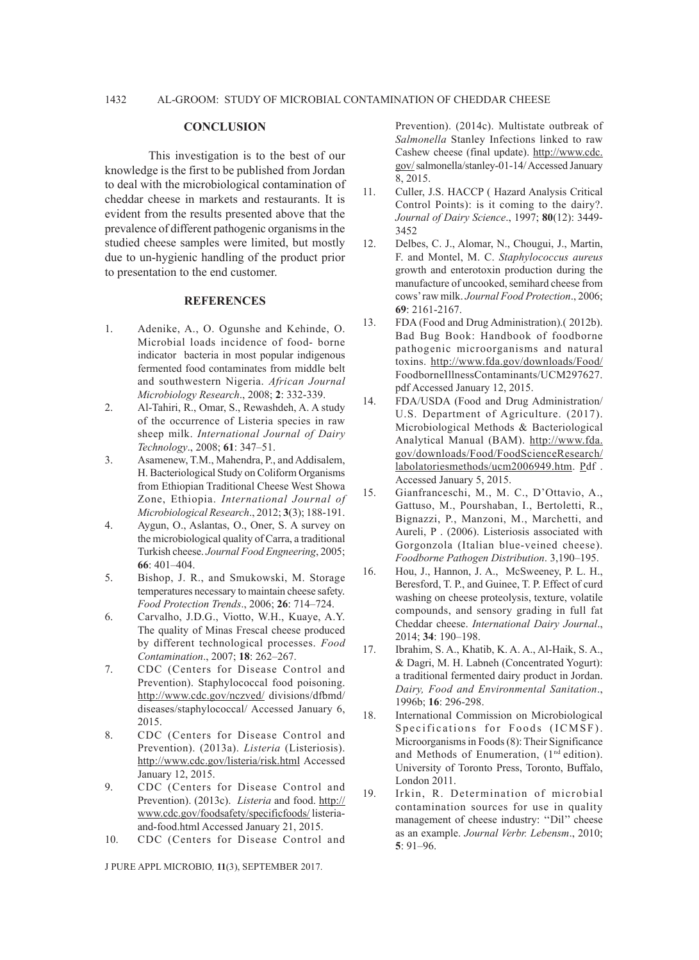#### **CONCLUSION**

This investigation is to the best of our knowledge is the first to be published from Jordan to deal with the microbiological contamination of cheddar cheese in markets and restaurants. It is evident from the results presented above that the prevalence of different pathogenic organisms in the studied cheese samples were limited, but mostly due to un-hygienic handling of the product prior to presentation to the end customer.

### **REFERENCES**

- 1. Adenike, A., O. Ogunshe and Kehinde, O. Microbial loads incidence of food- borne indicator bacteria in most popular indigenous fermented food contaminates from middle belt and southwestern Nigeria. *African Journal Microbiology Research*., 2008; **2**: 332-339.
- 2. Al-Tahiri, R., Omar, S., Rewashdeh, A. A study of the occurrence of Listeria species in raw sheep milk. *International Journal of Dairy Technology*., 2008; **61**: 347–51.
- 3. Asamenew, T.M., Mahendra, P., and Addisalem, H. Bacteriological Study on Coliform Organisms from Ethiopian Traditional Cheese West Showa Zone, Ethiopia. *International Journal of Microbiological Research*., 2012; **3**(3); 188-191.
- 4. Aygun, O., Aslantas, O., Oner, S. A survey on the microbiological quality of Carra, a traditional Turkish cheese. *Journal Food Engneering*, 2005; **66**: 401–404.
- 5. Bishop, J. R., and Smukowski, M. Storage temperatures necessary to maintain cheese safety. *Food Protection Trends*., 2006; **26**: 714–724.
- 6. Carvalho, J.D.G., Viotto, W.H., Kuaye, A.Y. The quality of Minas Frescal cheese produced by different technological processes. *Food Contamination*., 2007; **18**: 262–267.
- 7. CDC (Centers for Disease Control and Prevention). Staphylococcal food poisoning. http://www.cdc.gov/nczved/ divisions/dfbmd/ diseases/staphylococcal/ Accessed January 6, 2015.
- 8. CDC (Centers for Disease Control and Prevention). (2013a). *Listeria* (Listeriosis). http://www.cdc.gov/listeria/risk.html Accessed January 12, 2015.
- 9. CDC (Centers for Disease Control and Prevention). (2013c). *Listeria* and food. http:// www.cdc.gov/foodsafety/specificfoods/ listeriaand-food.html Accessed January 21, 2015.
- 10. CDC (Centers for Disease Control and

J PURE APPL MICROBIO*,* **11**(3), SEPTEMBER 2017.

Prevention). (2014c). Multistate outbreak of *Salmonella* Stanley Infections linked to raw Cashew cheese (final update). http://www.cdc. gov/ salmonella/stanley-01-14/ Accessed January 8, 2015.

- 11. Culler, J.S. HACCP ( Hazard Analysis Critical Control Points): is it coming to the dairy?. *Journal of Dairy Science*., 1997; **80**(12): 3449- 3452
- 12. Delbes, C. J., Alomar, N., Chougui, J., Martin, F. and Montel, M. C. *Staphylococcus aureus*  growth and enterotoxin production during the manufacture of uncooked, semihard cheese from cows' raw milk. *Journal Food Protection*., 2006; **69**: 2161-2167.
- 13. FDA (Food and Drug Administration).( 2012b). Bad Bug Book: Handbook of foodborne pathogenic microorganisms and natural toxins. http://www.fda.gov/downloads/Food/ FoodborneIllnessContaminants/UCM297627. pdf Accessed January 12, 2015.
- 14. FDA/USDA (Food and Drug Administration/ U.S. Department of Agriculture. (2017). Microbiological Methods & Bacteriological Analytical Manual (BAM). http://www.fda. gov/downloads/Food/FoodScienceResearch/ labolatoriesmethods/ucm2006949.htm. Pdf . Accessed January 5, 2015.
- 15. Gianfranceschi, M., M. C., D'Ottavio, A., Gattuso, M., Pourshaban, I., Bertoletti, R., Bignazzi, P., Manzoni, M., Marchetti, and Aureli, P . (2006). Listeriosis associated with Gorgonzola (Italian blue-veined cheese). *Foodborne Pathogen Distribution*. 3,190–195.
- 16. Hou, J., Hannon, J. A., McSweeney, P. L. H., Beresford, T. P., and Guinee, T. P. Effect of curd washing on cheese proteolysis, texture, volatile compounds, and sensory grading in full fat Cheddar cheese. *International Dairy Journal*., 2014; **34**: 190–198.
- 17. Ibrahim, S. A., Khatib, K. A. A., Al-Haik, S. A., & Dagri, M. H. Labneh (Concentrated Yogurt): a traditional fermented dairy product in Jordan. *Dairy, Food and Environmental Sanitation*., 1996b; **16**: 296-298.
- 18. International Commission on Microbiological Specifications for Foods (ICMSF). Microorganisms in Foods (8): Their Significance and Methods of Enumeration, (1<sup>nd</sup> edition). University of Toronto Press, Toronto, Buffalo, London 2011.
- 19. Irkin, R. Determination of microbial contamination sources for use in quality management of cheese industry: ''Dil'' cheese as an example. *Journal Verbr. Lebensm*., 2010; **5**: 91–96.